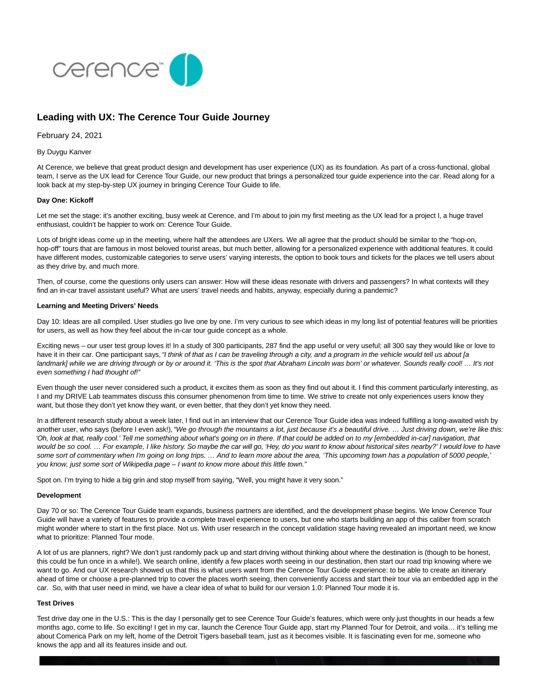

# **Leading with UX: The Cerence Tour Guide Journey**

February 24, 2021

### By Duygu Kanver

At Cerence, we believe that great product design and development has user experience (UX) as its foundation. As part of a cross-functional, global team, I serve as the UX lead for Cerence Tour Guide, our new product that brings a personalized tour guide experience into the car. Read along for a look back at my step-by-step UX journey in bringing Cerence Tour Guide to life.

#### **Day One: Kickoff**

Let me set the stage: it's another exciting, busy week at Cerence, and I'm about to join my first meeting as the UX lead for a project I, a huge travel enthusiast, couldn't be happier to work on: Cerence Tour Guide.

Lots of bright ideas come up in the meeting, where half the attendees are UXers. We all agree that the product should be similar to the "hop-on, hop-off" tours that are famous in most beloved tourist areas, but much better, allowing for a personalized experience with additional features. It could have different modes, customizable categories to serve users' varying interests, the option to book tours and tickets for the places we tell users about as they drive by, and much more.

Then, of course, come the questions only users can answer: How will these ideas resonate with drivers and passengers? In what contexts will they find an in-car travel assistant useful? What are users' travel needs and habits, anyway, especially during a pandemic?

#### **Learning and Meeting Drivers' Needs**

Day 10: Ideas are all compiled. User studies go live one by one. I'm very curious to see which ideas in my long list of potential features will be priorities for users, as well as how they feel about the in-car tour guide concept as a whole.

Exciting news – our user test group loves it! In a study of 300 participants, 287 find the app useful or very useful; all 300 say they would like or love to have it in their car. One participant says, "I think of that as I can be traveling through a city, and a program in the vehicle would tell us about [a landmark] while we are driving through or by or around it. 'This is the spot that Abraham Lincoln was born' or whatever. Sounds really cool! ... It's not even something I had thought of!"

Even though the user never considered such a product, it excites them as soon as they find out about it. I find this comment particularly interesting, as I and my DRIVE Lab teammates discuss this consumer phenomenon from time to time. We strive to create not only experiences users know they want, but those they don't yet know they want, or even better, that they don't yet know they need.

In a different research study about a week later, I find out in an interview that our Cerence Tour Guide idea was indeed fulfilling a long-awaited wish by another user, who says (before I even ask!), "We go through the mountains a lot, just because it's a beautiful drive. ... Just driving down, we're like this: 'Oh, look at that, really cool.' Tell me something about what's going on in there. If that could be added on to my [embedded in-car] navigation, that would be so cool. ... For example, I like history. So maybe the car will go, 'Hey, do you want to know about historical sites nearby?' I would love to have some sort of commentary when I'm going on long trips. … And to learn more about the area, 'This upcoming town has a population of 5000 people,' you know, just some sort of Wikipedia page – I want to know more about this little town."

Spot on. I'm trying to hide a big grin and stop myself from saying, "Well, you might have it very soon."

#### **Development**

Day 70 or so: The Cerence Tour Guide team expands, business partners are identified, and the development phase begins. We know Cerence Tour Guide will have a variety of features to provide a complete travel experience to users, but one who starts building an app of this caliber from scratch might wonder where to start in the first place. Not us. With user research in the concept validation stage having revealed an important need, we know what to prioritize: Planned Tour mode.

A lot of us are planners, right? We don't just randomly pack up and start driving without thinking about where the destination is (though to be honest, this could be fun once in a while!). We search online, identify a few places worth seeing in our destination, then start our road trip knowing where we want to go. And our UX research showed us that this is what users want from the Cerence Tour Guide experience: to be able to create an itinerary ahead of time or choose a pre-planned trip to cover the places worth seeing, then conveniently access and start their tour via an embedded app in the car. So, with that user need in mind, we have a clear idea of what to build for our version 1.0: Planned Tour mode it is.

## **Test Drives**

Test drive day one in the U.S.: This is the day I personally get to see Cerence Tour Guide's features, which were only just thoughts in our heads a few months ago, come to life. So exciting! I get in my car, launch the Cerence Tour Guide app, start my Planned Tour for Detroit, and voila… it's telling me about Comerica Park on my left, home of the Detroit Tigers baseball team, just as it becomes visible. It is fascinating even for me, someone who knows the app and all its features inside and out.